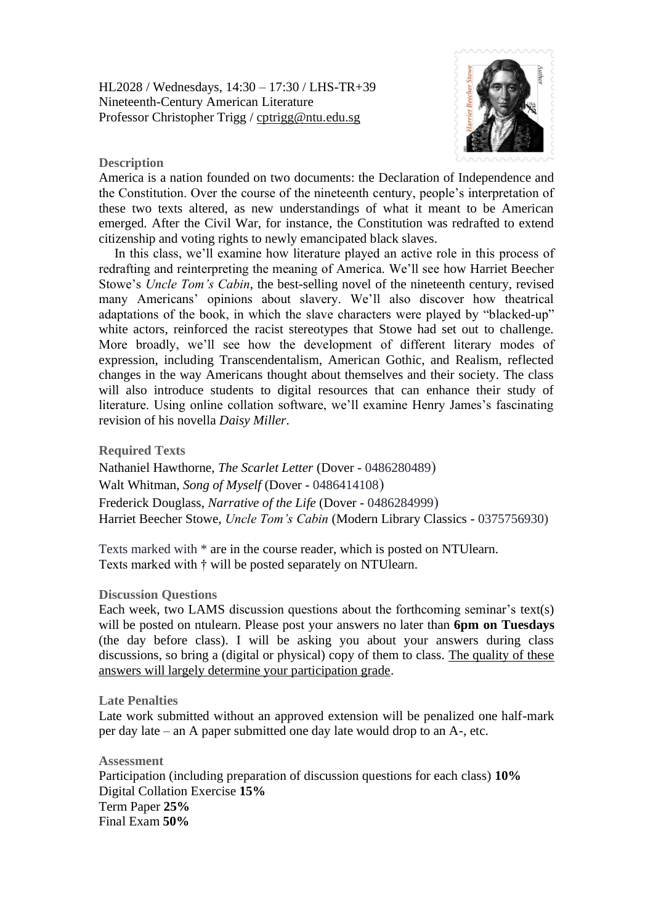HL2028 / Wednesdays, 14:30 – 17:30 / LHS-TR+39 Nineteenth-Century American Literature Professor Christopher Trigg / [cptrigg@ntu.edu.sg](mailto:cptrigg@ntu.edu.sg)



## **Description**

America is a nation founded on two documents: the Declaration of Independence and the Constitution. Over the course of the nineteenth century, people's interpretation of these two texts altered, as new understandings of what it meant to be American emerged. After the Civil War, for instance, the Constitution was redrafted to extend citizenship and voting rights to newly emancipated black slaves.

In this class, we'll examine how literature played an active role in this process of redrafting and reinterpreting the meaning of America. We'll see how Harriet Beecher Stowe's *Uncle Tom's Cabin*, the best-selling novel of the nineteenth century, revised many Americans' opinions about slavery. We'll also discover how theatrical adaptations of the book, in which the slave characters were played by "blacked-up" white actors, reinforced the racist stereotypes that Stowe had set out to challenge. More broadly, we'll see how the development of different literary modes of expression, including Transcendentalism, American Gothic, and Realism, reflected changes in the way Americans thought about themselves and their society. The class will also introduce students to digital resources that can enhance their study of literature. Using online collation software, we'll examine Henry James's fascinating revision of his novella *Daisy Miller*.

**Required Texts**

Nathaniel Hawthorne, *The Scarlet Letter* (Dover - 0486280489) Walt Whitman, *Song of Myself* (Dover - 0486414108) Frederick Douglass, *Narrative of the Life* (Dover - 0486284999) Harriet Beecher Stowe, *Uncle Tom's Cabin* (Modern Library Classics - 0375756930)

Texts marked with \* are in the course reader, which is posted on NTUlearn. Texts marked with † will be posted separately on NTUlearn.

## **Discussion Questions**

Each week, two LAMS discussion questions about the forthcoming seminar's text(s) will be posted on ntulearn. Please post your answers no later than **6pm on Tuesdays** (the day before class). I will be asking you about your answers during class discussions, so bring a (digital or physical) copy of them to class. The quality of these answers will largely determine your participation grade.

## **Late Penalties**

Late work submitted without an approved extension will be penalized one half-mark per day late – an A paper submitted one day late would drop to an A-, etc.

**Assessment** Participation (including preparation of discussion questions for each class) **10%** Digital Collation Exercise **15%** Term Paper **25%** Final Exam **50%**